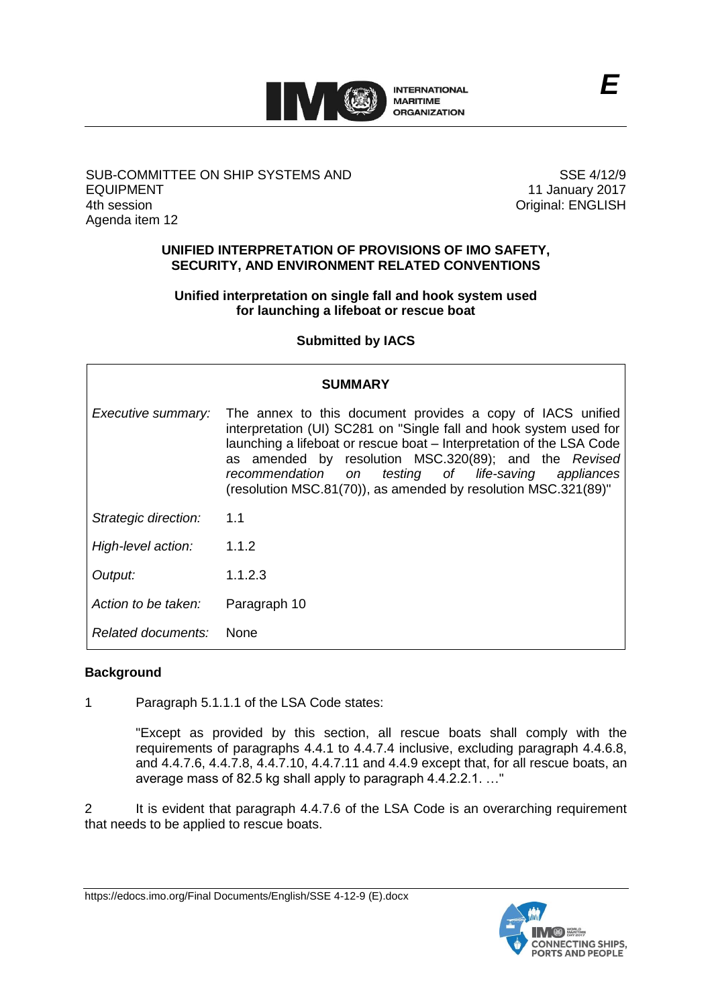

# SUB-COMMITTEE ON SHIP SYSTEMS AND EQUIPMENT 4th session Agenda item 12

SSE 4/12/9 11 January 2017 Original: ENGLISH

## **UNIFIED INTERPRETATION OF PROVISIONS OF IMO SAFETY, SECURITY, AND ENVIRONMENT RELATED CONVENTIONS**

# **Unified interpretation on single fall and hook system used for launching a lifeboat or rescue boat**

# **Submitted by IACS**

| <b>SUMMARY</b>       |                                                                                                                                                                                                                                                                                                                                                                                               |
|----------------------|-----------------------------------------------------------------------------------------------------------------------------------------------------------------------------------------------------------------------------------------------------------------------------------------------------------------------------------------------------------------------------------------------|
| Executive summary:   | The annex to this document provides a copy of IACS unified<br>interpretation (UI) SC281 on "Single fall and hook system used for<br>launching a lifeboat or rescue boat – Interpretation of the LSA Code<br>as amended by resolution MSC.320(89); and the Revised<br>testing of life-saving appliances<br>recommendation on<br>(resolution MSC.81(70)), as amended by resolution MSC.321(89)" |
| Strategic direction: | 1.1                                                                                                                                                                                                                                                                                                                                                                                           |
| High-level action:   | 1.1.2                                                                                                                                                                                                                                                                                                                                                                                         |
| Output:              | 1.1.2.3                                                                                                                                                                                                                                                                                                                                                                                       |
| Action to be taken:  | Paragraph 10                                                                                                                                                                                                                                                                                                                                                                                  |
| Related documents:   | <b>None</b>                                                                                                                                                                                                                                                                                                                                                                                   |

## **Background**

1 Paragraph 5.1.1.1 of the LSA Code states:

"Except as provided by this section, all rescue boats shall comply with the requirements of paragraphs 4.4.1 to 4.4.7.4 inclusive, excluding paragraph 4.4.6.8, and 4.4.7.6, 4.4.7.8, 4.4.7.10, 4.4.7.11 and 4.4.9 except that, for all rescue boats, an average mass of 82.5 kg shall apply to paragraph 4.4.2.2.1. …"

2 It is evident that paragraph 4.4.7.6 of the LSA Code is an overarching requirement that needs to be applied to rescue boats.

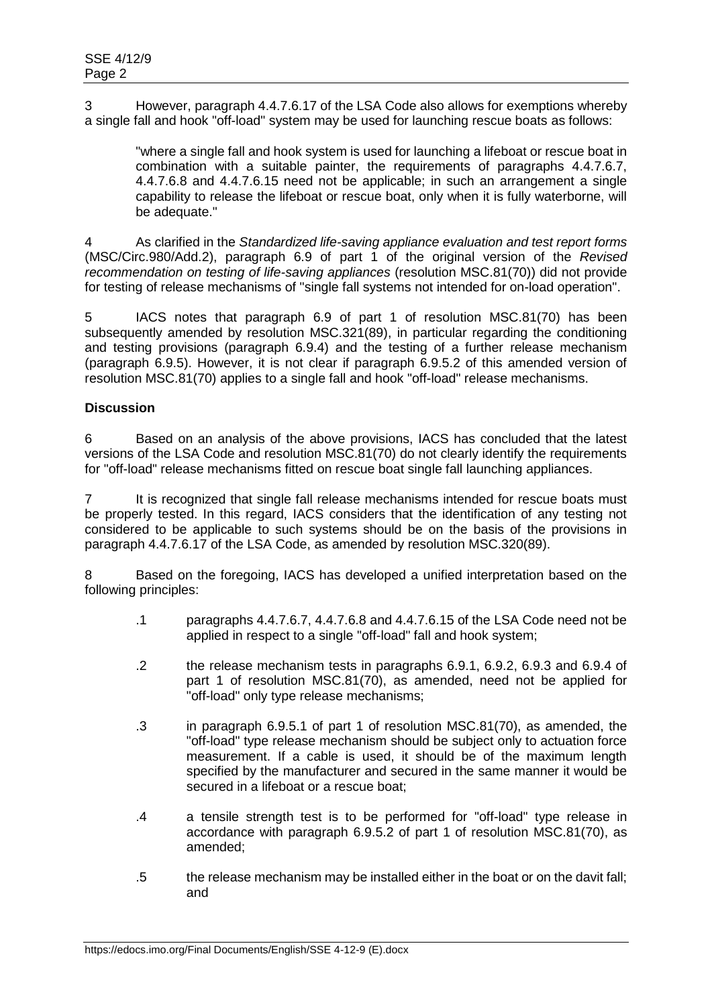3 However, paragraph 4.4.7.6.17 of the LSA Code also allows for exemptions whereby a single fall and hook "off-load" system may be used for launching rescue boats as follows:

"where a single fall and hook system is used for launching a lifeboat or rescue boat in combination with a suitable painter, the requirements of paragraphs 4.4.7.6.7, 4.4.7.6.8 and 4.4.7.6.15 need not be applicable; in such an arrangement a single capability to release the lifeboat or rescue boat, only when it is fully waterborne, will be adequate."

4 As clarified in the *Standardized life-saving appliance evaluation and test report forms* (MSC/Circ.980/Add.2), paragraph 6.9 of part 1 of the original version of the *Revised recommendation on testing of life-saving appliances* (resolution MSC.81(70)) did not provide for testing of release mechanisms of "single fall systems not intended for on-load operation".

5 IACS notes that paragraph 6.9 of part 1 of resolution MSC.81(70) has been subsequently amended by resolution MSC.321(89), in particular regarding the conditioning and testing provisions (paragraph 6.9.4) and the testing of a further release mechanism (paragraph 6.9.5). However, it is not clear if paragraph 6.9.5.2 of this amended version of resolution MSC.81(70) applies to a single fall and hook "off-load" release mechanisms.

# **Discussion**

6 Based on an analysis of the above provisions, IACS has concluded that the latest versions of the LSA Code and resolution MSC.81(70) do not clearly identify the requirements for "off-load" release mechanisms fitted on rescue boat single fall launching appliances.

7 It is recognized that single fall release mechanisms intended for rescue boats must be properly tested. In this regard, IACS considers that the identification of any testing not considered to be applicable to such systems should be on the basis of the provisions in paragraph 4.4.7.6.17 of the LSA Code, as amended by resolution MSC.320(89).

8 Based on the foregoing, IACS has developed a unified interpretation based on the following principles:

- .1 paragraphs 4.4.7.6.7, 4.4.7.6.8 and 4.4.7.6.15 of the LSA Code need not be applied in respect to a single "off-load" fall and hook system;
- .2 the release mechanism tests in paragraphs 6.9.1, 6.9.2, 6.9.3 and 6.9.4 of part 1 of resolution MSC.81(70), as amended, need not be applied for "off-load" only type release mechanisms;
- .3 in paragraph 6.9.5.1 of part 1 of resolution MSC.81(70), as amended, the "off-load" type release mechanism should be subject only to actuation force measurement. If a cable is used, it should be of the maximum length specified by the manufacturer and secured in the same manner it would be secured in a lifeboat or a rescue boat:
- .4 a tensile strength test is to be performed for "off-load" type release in accordance with paragraph 6.9.5.2 of part 1 of resolution MSC.81(70), as amended;
- .5 the release mechanism may be installed either in the boat or on the davit fall; and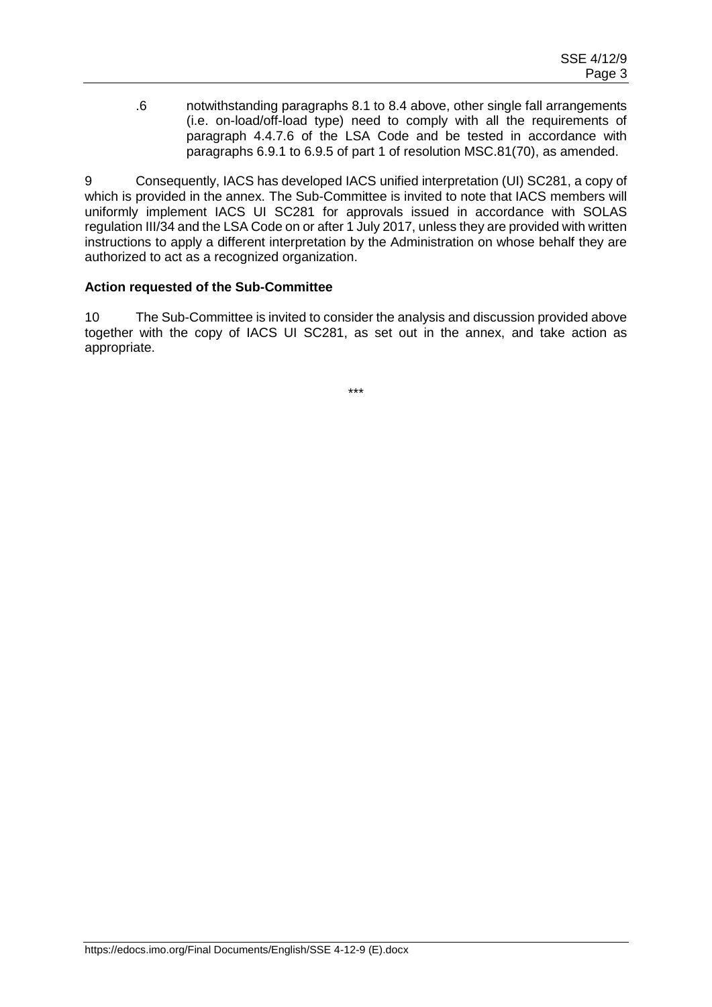.6 notwithstanding paragraphs 8.1 to 8.4 above, other single fall arrangements (i.e. on-load/off-load type) need to comply with all the requirements of paragraph 4.4.7.6 of the LSA Code and be tested in accordance with paragraphs 6.9.1 to 6.9.5 of part 1 of resolution MSC.81(70), as amended.

9 Consequently, IACS has developed IACS unified interpretation (UI) SC281, a copy of which is provided in the annex. The Sub-Committee is invited to note that IACS members will uniformly implement IACS UI SC281 for approvals issued in accordance with SOLAS regulation III/34 and the LSA Code on or after 1 July 2017, unless they are provided with written instructions to apply a different interpretation by the Administration on whose behalf they are authorized to act as a recognized organization.

#### **Action requested of the Sub-Committee**

10 The Sub-Committee is invited to consider the analysis and discussion provided above together with the copy of IACS UI SC281, as set out in the annex, and take action as appropriate.

\*\*\*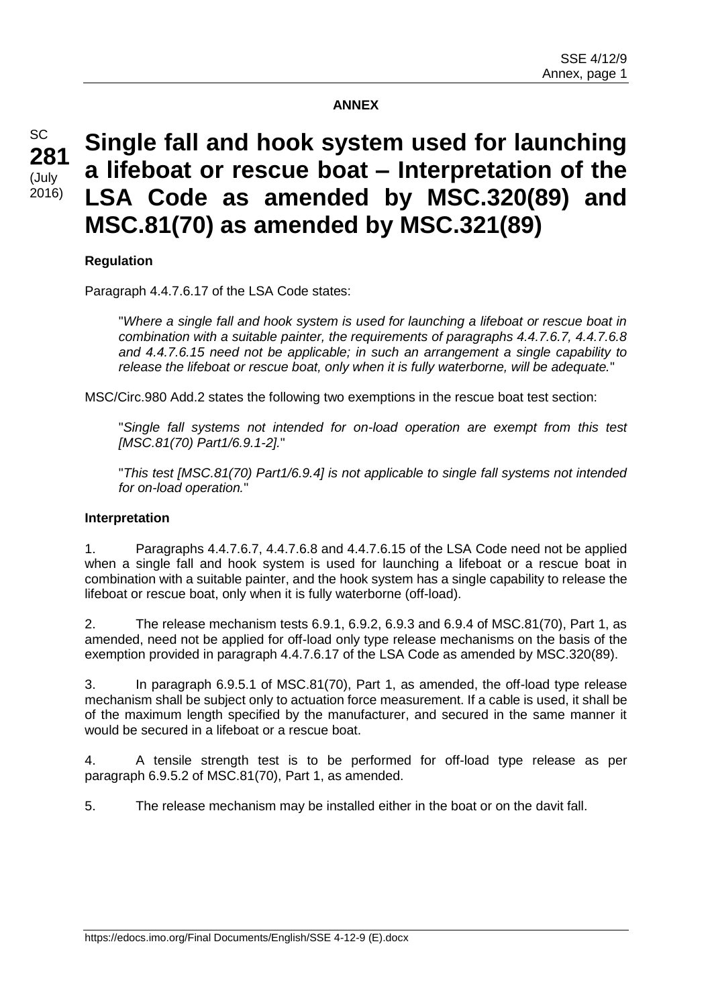#### **ANNEX**

# **Single fall and hook system used for launching a lifeboat or rescue boat – Interpretation of the LSA Code as amended by MSC.320(89) and MSC.81(70) as amended by MSC.321(89)**

## **Regulation**

Paragraph 4.4.7.6.17 of the LSA Code states:

"*Where a single fall and hook system is used for launching a lifeboat or rescue boat in combination with a suitable painter, the requirements of paragraphs 4.4.7.6.7, 4.4.7.6.8 and 4.4.7.6.15 need not be applicable; in such an arrangement a single capability to release the lifeboat or rescue boat, only when it is fully waterborne, will be adequate.*"

MSC/Circ.980 Add.2 states the following two exemptions in the rescue boat test section:

"*Single fall systems not intended for on-load operation are exempt from this test [MSC.81(70) Part1/6.9.1-2].*"

"*This test [MSC.81(70) Part1/6.9.4] is not applicable to single fall systems not intended for on-load operation.*"

#### **Interpretation**

1. Paragraphs 4.4.7.6.7, 4.4.7.6.8 and 4.4.7.6.15 of the LSA Code need not be applied when a single fall and hook system is used for launching a lifeboat or a rescue boat in combination with a suitable painter, and the hook system has a single capability to release the lifeboat or rescue boat, only when it is fully waterborne (off-load).

2. The release mechanism tests 6.9.1, 6.9.2, 6.9.3 and 6.9.4 of MSC.81(70), Part 1, as amended, need not be applied for off-load only type release mechanisms on the basis of the exemption provided in paragraph 4.4.7.6.17 of the LSA Code as amended by MSC.320(89).

3. In paragraph 6.9.5.1 of MSC.81(70), Part 1, as amended, the off-load type release mechanism shall be subject only to actuation force measurement. If a cable is used, it shall be of the maximum length specified by the manufacturer, and secured in the same manner it would be secured in a lifeboat or a rescue boat.

4. A tensile strength test is to be performed for off-load type release as per paragraph 6.9.5.2 of MSC.81(70), Part 1, as amended.

5. The release mechanism may be installed either in the boat or on the davit fall.